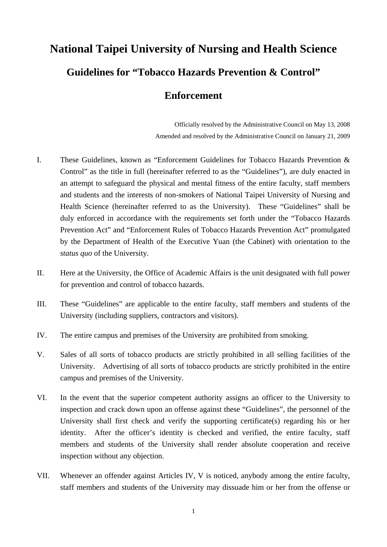## **National Taipei University of Nursing and Health Science Guidelines for "Tobacco Hazards Prevention & Control"**

## **Enforcement**

Officially resolved by the Administrative Council on May 13, 2008 Amended and resolved by the Administrative Council on January 21, 2009

- I. These Guidelines, known as "Enforcement Guidelines for Tobacco Hazards Prevention & Control" as the title in full (hereinafter referred to as the "Guidelines"), are duly enacted in an attempt to safeguard the physical and mental fitness of the entire faculty, staff members and students and the interests of non-smokers of National Taipei University of Nursing and Health Science (hereinafter referred to as the University). These "Guidelines" shall be duly enforced in accordance with the requirements set forth under the "Tobacco Hazards Prevention Act" and "Enforcement Rules of Tobacco Hazards Prevention Act" promulgated by the Department of Health of the Executive Yuan (the Cabinet) with orientation to the *status quo* of the University.
- II. Here at the University, the Office of Academic Affairs is the unit designated with full power for prevention and control of tobacco hazards.
- III. These "Guidelines" are applicable to the entire faculty, staff members and students of the University (including suppliers, contractors and visitors).
- IV. The entire campus and premises of the University are prohibited from smoking.
- V. Sales of all sorts of tobacco products are strictly prohibited in all selling facilities of the University. Advertising of all sorts of tobacco products are strictly prohibited in the entire campus and premises of the University.
- VI. In the event that the superior competent authority assigns an officer to the University to inspection and crack down upon an offense against these "Guidelines", the personnel of the University shall first check and verify the supporting certificate(s) regarding his or her identity. After the officer's identity is checked and verified, the entire faculty, staff members and students of the University shall render absolute cooperation and receive inspection without any objection.
- VII. Whenever an offender against Articles IV, V is noticed, anybody among the entire faculty, staff members and students of the University may dissuade him or her from the offense or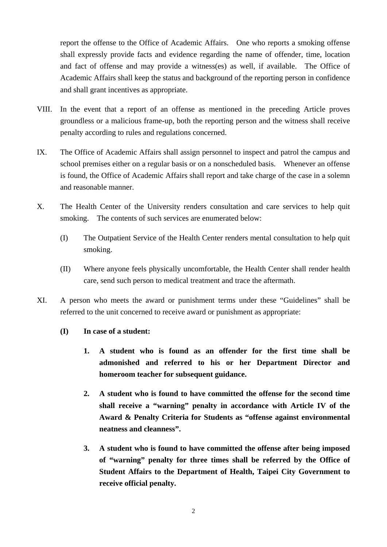report the offense to the Office of Academic Affairs. One who reports a smoking offense shall expressly provide facts and evidence regarding the name of offender, time, location and fact of offense and may provide a witness(es) as well, if available. The Office of Academic Affairs shall keep the status and background of the reporting person in confidence and shall grant incentives as appropriate.

- VIII. In the event that a report of an offense as mentioned in the preceding Article proves groundless or a malicious frame-up, both the reporting person and the witness shall receive penalty according to rules and regulations concerned.
- IX. The Office of Academic Affairs shall assign personnel to inspect and patrol the campus and school premises either on a regular basis or on a nonscheduled basis. Whenever an offense is found, the Office of Academic Affairs shall report and take charge of the case in a solemn and reasonable manner.
- X. The Health Center of the University renders consultation and care services to help quit smoking. The contents of such services are enumerated below:
	- (I) The Outpatient Service of the Health Center renders mental consultation to help quit smoking.
	- (II) Where anyone feels physically uncomfortable, the Health Center shall render health care, send such person to medical treatment and trace the aftermath.
- XI. A person who meets the award or punishment terms under these "Guidelines" shall be referred to the unit concerned to receive award or punishment as appropriate:
	- **(I) In case of a student:** 
		- **1. A student who is found as an offender for the first time shall be admonished and referred to his or her Department Director and homeroom teacher for subsequent guidance.**
		- **2. A student who is found to have committed the offense for the second time shall receive a "warning" penalty in accordance with Article IV of the Award & Penalty Criteria for Students as "offense against environmental neatness and cleanness".**
		- **3. A student who is found to have committed the offense after being imposed of "warning" penalty for three times shall be referred by the Office of Student Affairs to the Department of Health, Taipei City Government to receive official penalty.**